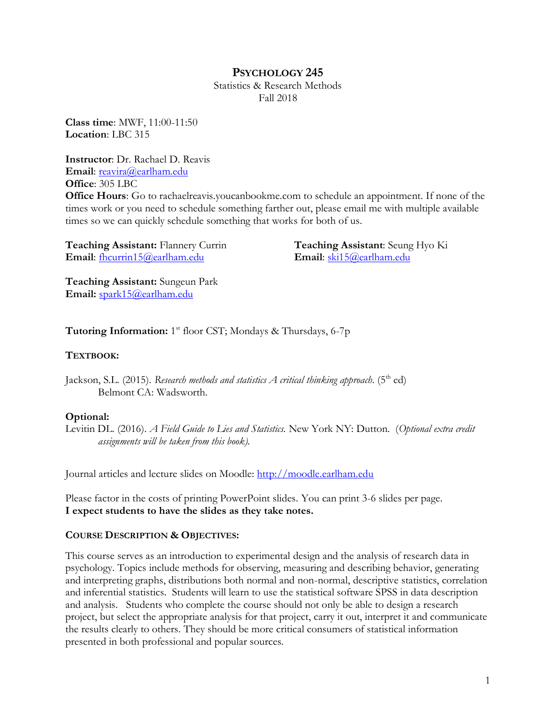# **PSYCHOLOGY 245**

Statistics & Research Methods Fall 2018

**Class time**: MWF, 11:00-11:50 **Location**: LBC 315

**Instructor**: Dr. Rachael D. Reavis **Email**: [reavira@earlham.edu](mailto:reavira@earlham.edu) **Office**: 305 LBC

**Office Hours**: Go to rachaelreavis.youcanbookme.com to schedule an appointment. If none of the times work or you need to schedule something farther out, please email me with multiple available times so we can quickly schedule something that works for both of us.

**Teaching Assistant:** Flannery Currin **Email**: fhcurrin15@earlham.edu

**Teaching Assistant**: Seung Hyo Ki **Email**: ski15@earlham.edu

**Teaching Assistant:** Sungeun Park **Email:** [spark15@earlham.edu](mailto:spark15@earlham.edu)

Tutoring Information: 1<sup>st</sup> floor CST; Mondays & Thursdays, 6-7p

## **TEXTBOOK:**

Jackson, S.L. (2015). *Research methods and statistics A critical thinking approach*. ( $5<sup>th</sup>$  ed) Belmont CA: Wadsworth.

# **Optional:**

Levitin DL. (2016). *A Field Guide to Lies and Statistics.* New York NY: Dutton. (*Optional extra credit assignments will be taken from this book).*

Journal articles and lecture slides on Moodle: [http://moodle.earlham.edu](http://moodle.earlham.edu/)

Please factor in the costs of printing PowerPoint slides. You can print 3-6 slides per page. **I expect students to have the slides as they take notes.** 

# **COURSE DESCRIPTION & OBJECTIVES:**

This course serves as an introduction to experimental design and the analysis of research data in psychology. Topics include methods for observing, measuring and describing behavior, generating and interpreting graphs, distributions both normal and non-normal, descriptive statistics, correlation and inferential statistics. Students will learn to use the statistical software SPSS in data description and analysis. Students who complete the course should not only be able to design a research project, but select the appropriate analysis for that project, carry it out, interpret it and communicate the results clearly to others. They should be more critical consumers of statistical information presented in both professional and popular sources.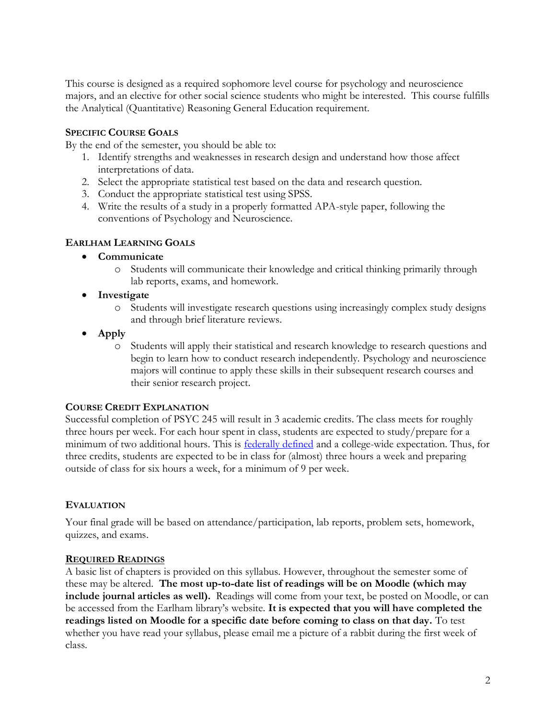This course is designed as a required sophomore level course for psychology and neuroscience majors, and an elective for other social science students who might be interested. This course fulfills the Analytical (Quantitative) Reasoning General Education requirement.

# **SPECIFIC COURSE GOALS**

By the end of the semester, you should be able to:

- 1. Identify strengths and weaknesses in research design and understand how those affect interpretations of data.
- 2. Select the appropriate statistical test based on the data and research question.
- 3. Conduct the appropriate statistical test using SPSS.
- 4. Write the results of a study in a properly formatted APA-style paper, following the conventions of Psychology and Neuroscience.

## **EARLHAM LEARNING GOALS**

- **Communicate**
	- o Students will communicate their knowledge and critical thinking primarily through lab reports, exams, and homework.
- **Investigate**
	- o Students will investigate research questions using increasingly complex study designs and through brief literature reviews.
- **Apply**
	- o Students will apply their statistical and research knowledge to research questions and begin to learn how to conduct research independently. Psychology and neuroscience majors will continue to apply these skills in their subsequent research courses and their senior research project.

# **COURSE CREDIT EXPLANATION**

Successful completion of PSYC 245 will result in 3 academic credits. The class meets for roughly three hours per week. For each hour spent in class, students are expected to study/prepare for a minimum of two additional hours. This is **federally defined** and a college-wide expectation. Thus, for three credits, students are expected to be in class for (almost) three hours a week and preparing outside of class for six hours a week, for a minimum of 9 per week.

# **EVALUATION**

Your final grade will be based on attendance/participation, lab reports, problem sets, homework, quizzes, and exams.

## **REQUIRED READINGS**

A basic list of chapters is provided on this syllabus. However, throughout the semester some of these may be altered. **The most up-to-date list of readings will be on Moodle (which may include journal articles as well).** Readings will come from your text, be posted on Moodle, or can be accessed from the Earlham library's website. **It is expected that you will have completed the readings listed on Moodle for a specific date before coming to class on that day.** To test whether you have read your syllabus, please email me a picture of a rabbit during the first week of class.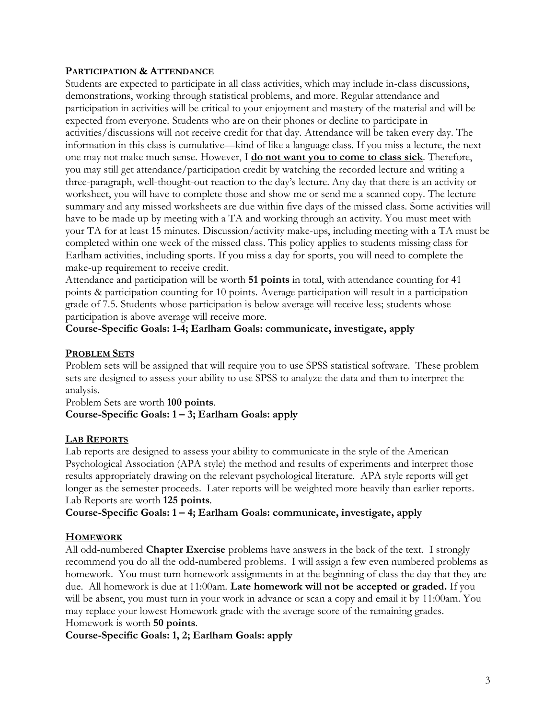## **PARTICIPATION & ATTENDANCE**

Students are expected to participate in all class activities, which may include in-class discussions, demonstrations, working through statistical problems, and more. Regular attendance and participation in activities will be critical to your enjoyment and mastery of the material and will be expected from everyone. Students who are on their phones or decline to participate in activities/discussions will not receive credit for that day. Attendance will be taken every day. The information in this class is cumulative—kind of like a language class. If you miss a lecture, the next one may not make much sense. However, I **do not want you to come to class sick**. Therefore, you may still get attendance/participation credit by watching the recorded lecture and writing a three-paragraph, well-thought-out reaction to the day's lecture. Any day that there is an activity or worksheet, you will have to complete those and show me or send me a scanned copy. The lecture summary and any missed worksheets are due within five days of the missed class. Some activities will have to be made up by meeting with a TA and working through an activity. You must meet with your TA for at least 15 minutes. Discussion/activity make-ups, including meeting with a TA must be completed within one week of the missed class. This policy applies to students missing class for Earlham activities, including sports. If you miss a day for sports, you will need to complete the make-up requirement to receive credit.

Attendance and participation will be worth **51 points** in total, with attendance counting for 41 points & participation counting for 10 points. Average participation will result in a participation grade of 7.5. Students whose participation is below average will receive less; students whose participation is above average will receive more.

**Course-Specific Goals: 1-4; Earlham Goals: communicate, investigate, apply**

## **PROBLEM SETS**

Problem sets will be assigned that will require you to use SPSS statistical software. These problem sets are designed to assess your ability to use SPSS to analyze the data and then to interpret the analysis.

Problem Sets are worth **100 points**. **Course-Specific Goals: 1 – 3; Earlham Goals: apply**

#### **LAB REPORTS**

Lab reports are designed to assess your ability to communicate in the style of the American Psychological Association (APA style) the method and results of experiments and interpret those results appropriately drawing on the relevant psychological literature. APA style reports will get longer as the semester proceeds. Later reports will be weighted more heavily than earlier reports. Lab Reports are worth **125 points**.

**Course-Specific Goals: 1 – 4; Earlham Goals: communicate, investigate, apply**

## **HOMEWORK**

All odd-numbered **Chapter Exercise** problems have answers in the back of the text. I strongly recommend you do all the odd-numbered problems. I will assign a few even numbered problems as homework. You must turn homework assignments in at the beginning of class the day that they are due. All homework is due at 11:00am. **Late homework will not be accepted or graded.** If you will be absent, you must turn in your work in advance or scan a copy and email it by 11:00am. You may replace your lowest Homework grade with the average score of the remaining grades. Homework is worth **50 points**.

**Course-Specific Goals: 1, 2; Earlham Goals: apply**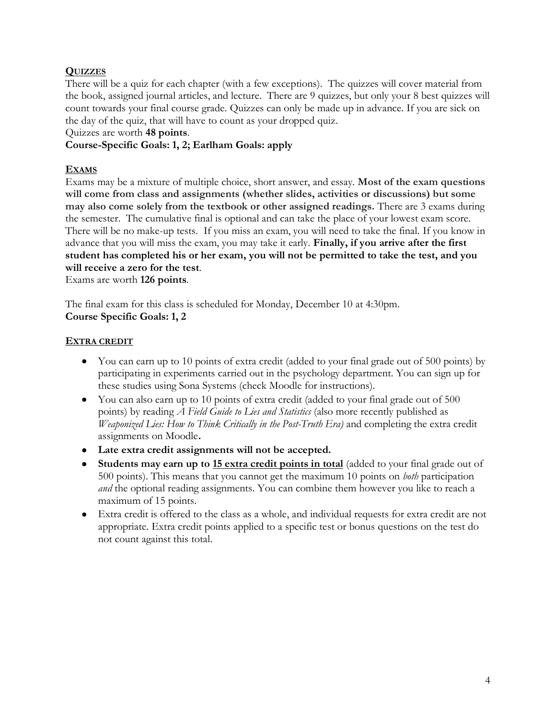## **QUIZZES**

There will be a quiz for each chapter (with a few exceptions). The quizzes will cover material from the book, assigned journal articles, and lecture. There are 9 quizzes, but only your 8 best quizzes will count towards your final course grade. Quizzes can only be made up in advance. If you are sick on the day of the quiz, that will have to count as your dropped quiz.

#### Quizzes are worth **48 points**.

## **Course-Specific Goals: 1, 2; Earlham Goals: apply**

## **EXAMS**

Exams may be a mixture of multiple choice, short answer, and essay. **Most of the exam questions will come from class and assignments (whether slides, activities or discussions) but some may also come solely from the textbook or other assigned readings.** There are 3 exams during the semester. The cumulative final is optional and can take the place of your lowest exam score. There will be no make-up tests. If you miss an exam, you will need to take the final. If you know in advance that you will miss the exam, you may take it early. **Finally, if you arrive after the first student has completed his or her exam, you will not be permitted to take the test, and you will receive a zero for the test**.

Exams are worth **126 points**.

The final exam for this class is scheduled for Monday, December 10 at 4:30pm. **Course Specific Goals: 1, 2**

#### **EXTRA CREDIT**

- You can earn up to 10 points of extra credit (added to your final grade out of 500 points) by participating in experiments carried out in the psychology department. You can sign up for these studies using Sona Systems (check Moodle for instructions).
- You can also earn up to 10 points of extra credit (added to your final grade out of 500 points) by reading *A Field Guide to Lies and Statistics* (also more recently published as *Weaponized Lies: How to Think Critically in the Post-Truth Era)* and completing the extra credit assignments on Moodle**.**
- **Late extra credit assignments will not be accepted.**
- **Students may earn up to 15 extra credit points in total** (added to your final grade out of 500 points). This means that you cannot get the maximum 10 points on *both* participation *and* the optional reading assignments. You can combine them however you like to reach a maximum of 15 points.
- Extra credit is offered to the class as a whole, and individual requests for extra credit are not appropriate. Extra credit points applied to a specific test or bonus questions on the test do not count against this total.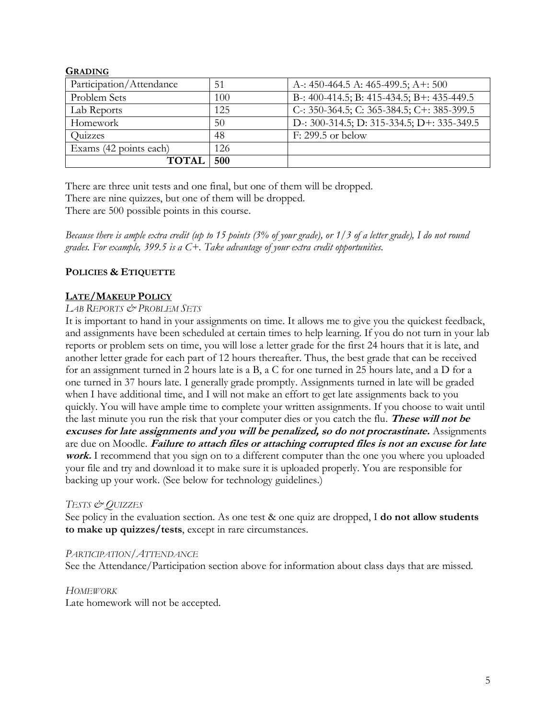## **GRADING**

| Participation/Attendance | 51  | A -: 450-464.5 A: 465-499.5; A +: 500             |
|--------------------------|-----|---------------------------------------------------|
| Problem Sets             | 100 | B-: 400-414.5; B: 415-434.5; B+: 435-449.5        |
| Lab Reports              | 125 | C: $350-364.5$ ; C: $365-384.5$ ; C+: $385-399.5$ |
| Homework                 | 50  | D -: 300-314.5; D: 315-334.5; D +: 335-349.5      |
| Quizzes                  | 48  | $F: 299.5$ or below                               |
| Exams (42 points each)   | 126 |                                                   |
| <b>TOTAI</b>             | 500 |                                                   |

There are three unit tests and one final, but one of them will be dropped.

There are nine quizzes, but one of them will be dropped.

There are 500 possible points in this course.

*Because there is ample extra credit (up to 15 points (3% of your grade), or 1/3 of a letter grade), I do not round grades. For example, 399.5 is a C+. Take advantage of your extra credit opportunities.*

## **POLICIES & ETIQUETTE**

## **LATE/MAKEUP POLICY**

#### *LAB REPORTS & PROBLEM SETS*

It is important to hand in your assignments on time. It allows me to give you the quickest feedback, and assignments have been scheduled at certain times to help learning. If you do not turn in your lab reports or problem sets on time, you will lose a letter grade for the first 24 hours that it is late, and another letter grade for each part of 12 hours thereafter. Thus, the best grade that can be received for an assignment turned in 2 hours late is a B, a C for one turned in 25 hours late, and a D for a one turned in 37 hours late. I generally grade promptly. Assignments turned in late will be graded when I have additional time, and I will not make an effort to get late assignments back to you quickly. You will have ample time to complete your written assignments. If you choose to wait until the last minute you run the risk that your computer dies or you catch the flu. **These will not be excuses for late assignments and you will be penalized, so do not procrastinate.** Assignments are due on Moodle. **Failure to attach files or attaching corrupted files is not an excuse for late work.** I recommend that you sign on to a different computer than the one you where you uploaded your file and try and download it to make sure it is uploaded properly. You are responsible for backing up your work. (See below for technology guidelines.)

## *TESTS & QUIZZES*

See policy in the evaluation section. As one test & one quiz are dropped, I **do not allow students to make up quizzes/tests**, except in rare circumstances.

## *PARTICIPATION/ATTENDANCE*

See the Attendance/Participation section above for information about class days that are missed.

#### *HOMEWORK*

Late homework will not be accepted.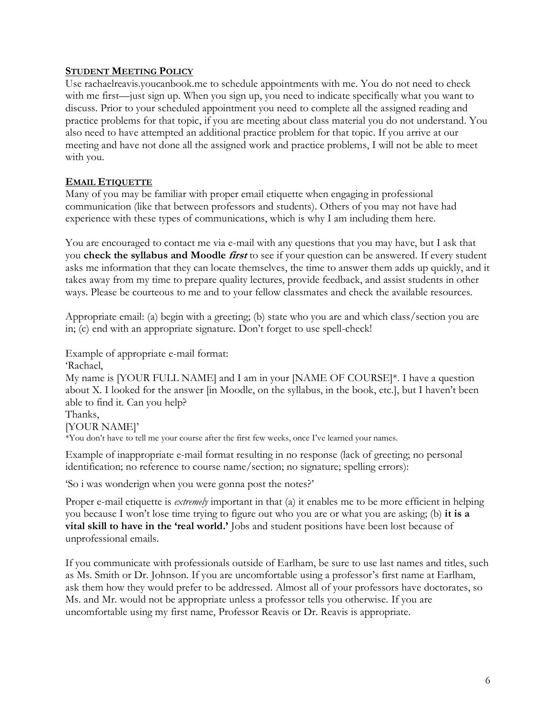#### **STUDENT MEETING POLICY**

Use rachaelreavis.youcanbook.me to schedule appointments with me. You do not need to check with me first—just sign up. When you sign up, you need to indicate specifically what you want to discuss. Prior to your scheduled appointment you need to complete all the assigned reading and practice problems for that topic, if you are meeting about class material you do not understand. You also need to have attempted an additional practice problem for that topic. If you arrive at our meeting and have not done all the assigned work and practice problems, I will not be able to meet with you.

## **EMAIL ETIQUETTE**

Many of you may be familiar with proper email etiquette when engaging in professional communication (like that between professors and students). Others of you may not have had experience with these types of communications, which is why I am including them here.

You are encouraged to contact me via e-mail with any questions that you may have, but I ask that you **check the syllabus and Moodle first** to see if your question can be answered. If every student asks me information that they can locate themselves, the time to answer them adds up quickly, and it takes away from my time to prepare quality lectures, provide feedback, and assist students in other ways. Please be courteous to me and to your fellow classmates and check the available resources.

Appropriate email: (a) begin with a greeting; (b) state who you are and which class/section you are in; (c) end with an appropriate signature. Don't forget to use spell-check!

Example of appropriate e-mail format:

'Rachael,

My name is [YOUR FULL NAME] and I am in your [NAME OF COURSE]\*. I have a question about X. I looked for the answer [in Moodle, on the syllabus, in the book, etc.], but I haven't been able to find it. Can you help?

Thanks,

[YOUR NAME]'

\*You don't have to tell me your course after the first few weeks, once I've learned your names.

Example of inappropriate e-mail format resulting in no response (lack of greeting; no personal identification; no reference to course name/section; no signature; spelling errors):

'So i was wonderign when you were gonna post the notes?'

Proper e-mail etiquette is *extremely* important in that (a) it enables me to be more efficient in helping you because I won't lose time trying to figure out who you are or what you are asking; (b) **it is a vital skill to have in the 'real world.'** Jobs and student positions have been lost because of unprofessional emails.

If you communicate with professionals outside of Earlham, be sure to use last names and titles, such as Ms. Smith or Dr. Johnson. If you are uncomfortable using a professor's first name at Earlham, ask them how they would prefer to be addressed. Almost all of your professors have doctorates, so Ms. and Mr. would not be appropriate unless a professor tells you otherwise. If you are uncomfortable using my first name, Professor Reavis or Dr. Reavis is appropriate.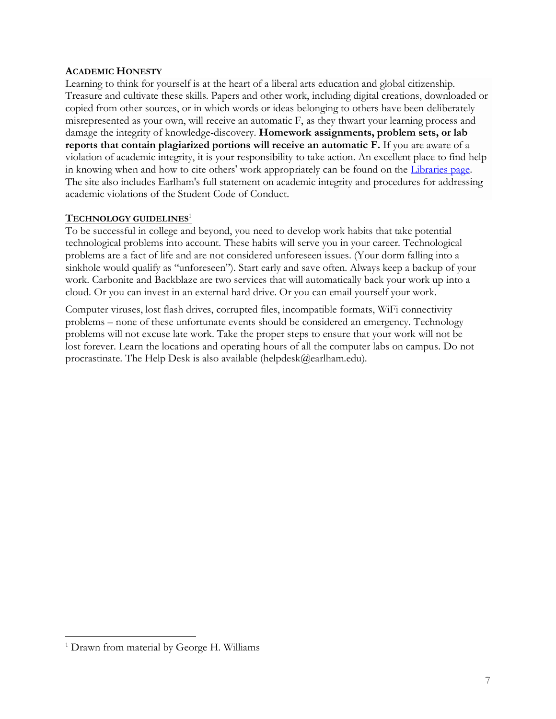## **ACADEMIC HONESTY**

Learning to think for yourself is at the heart of a liberal arts education and global citizenship. Treasure and cultivate these skills. Papers and other work, including digital creations, downloaded or copied from other sources, or in which words or ideas belonging to others have been deliberately misrepresented as your own, will receive an automatic F, as they thwart your learning process and damage the integrity of knowledge-discovery. **Homework assignments, problem sets, or lab reports that contain plagiarized portions will receive an automatic F.** If you are aware of a violation of academic integrity, it is your responsibility to take action. An excellent place to find help in knowing when and how to cite others' work appropriately can be found on the [Libraries page.](http://library.earlham.edu/friendly.php?s=academic_integrity) The site also includes Earlham's full statement on academic integrity and procedures for addressing academic violations of the Student Code of Conduct.

#### **TECHNOLOGY GUIDELINES**<sup>1</sup>

To be successful in college and beyond, you need to develop work habits that take potential technological problems into account. These habits will serve you in your career. Technological problems are a fact of life and are not considered unforeseen issues. (Your dorm falling into a sinkhole would qualify as "unforeseen"). Start early and save often. Always keep a backup of your work. Carbonite and Backblaze are two services that will automatically back your work up into a cloud. Or you can invest in an external hard drive. Or you can email yourself your work.

Computer viruses, lost flash drives, corrupted files, incompatible formats, WiFi connectivity problems – none of these unfortunate events should be considered an emergency. Technology problems will not excuse late work. Take the proper steps to ensure that your work will not be lost forever. Learn the locations and operating hours of all the computer labs on campus. Do not procrastinate. The Help Desk is also available (helpdesk@earlham.edu).

 $\overline{a}$ 

<sup>&</sup>lt;sup>1</sup> Drawn from material by George H. Williams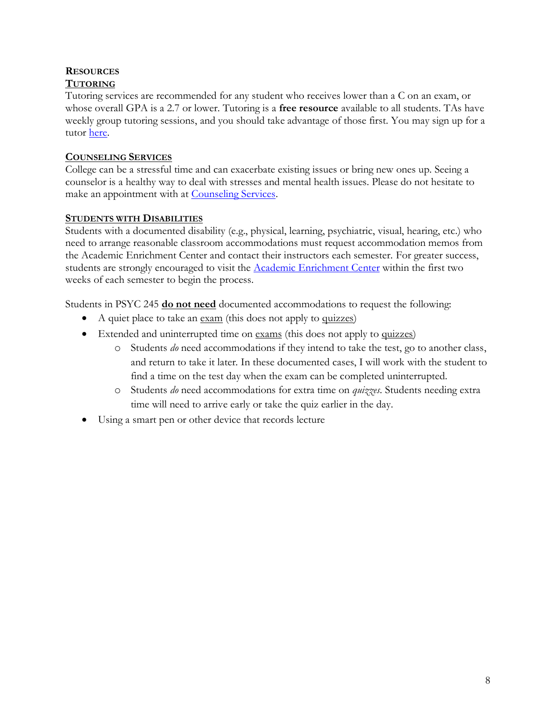# **RESOURCES**

# **TUTORING**

Tutoring services are recommended for any student who receives lower than a C on an exam, or whose overall GPA is a 2.7 or lower. Tutoring is a **free resource** available to all students. TAs have weekly group tutoring sessions, and you should take advantage of those first. You may sign up for a tutor [here.](http://www.earlham.edu/academic-enrichment-center)

# **COUNSELING SERVICES**

College can be a stressful time and can exacerbate existing issues or bring new ones up. Seeing a counselor is a healthy way to deal with stresses and mental health issues. Please do not hesitate to make an appointment with at [Counseling Services.](http://www.earlham.edu/counseling-services/)

# **STUDENTS WITH DISABILITIES**

Students with a documented disability (e.g., physical, learning, psychiatric, visual, hearing, etc.) who need to arrange reasonable classroom accommodations must request accommodation memos from the Academic Enrichment Center and contact their instructors each semester. For greater success, students are strongly encouraged to visit the [Academic Enrichment Center](http://www.earlham.edu/policies-and-handbooks/academic/policy-on-student-learning-disabilities/) within the first two weeks of each semester to begin the process.

Students in PSYC 245 **do not need** documented accommodations to request the following:

- A quiet place to take an exam (this does not apply to quizzes)
- Extended and uninterrupted time on <u>exams</u> (this does not apply to quizzes)
	- o Students *do* need accommodations if they intend to take the test, go to another class, and return to take it later. In these documented cases, I will work with the student to find a time on the test day when the exam can be completed uninterrupted.
	- o Students *do* need accommodations for extra time on *quizzes*. Students needing extra time will need to arrive early or take the quiz earlier in the day.
- Using a smart pen or other device that records lecture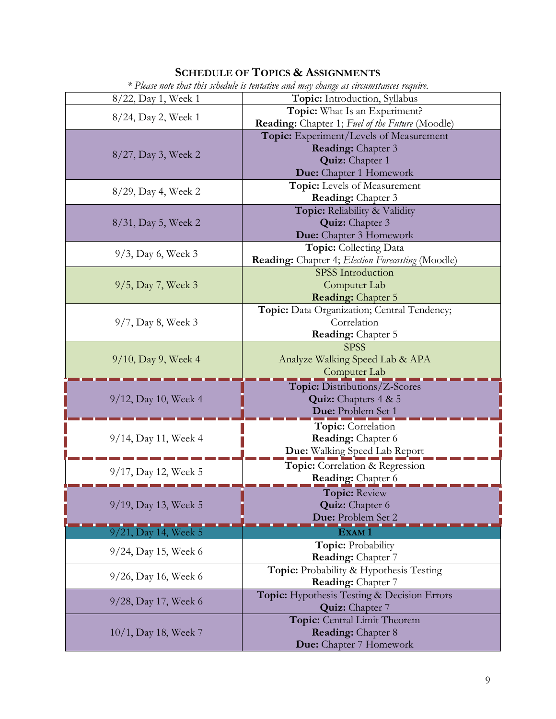# **SCHEDULE OF TOPICS & ASSIGNMENTS**

| * Please note that this schedule is tentative and may change as circumstances require. |                                                   |  |
|----------------------------------------------------------------------------------------|---------------------------------------------------|--|
| 8/22, Day 1, Week 1                                                                    | Topic: Introduction, Syllabus                     |  |
| 8/24, Day 2, Week 1                                                                    | Topic: What Is an Experiment?                     |  |
|                                                                                        | Reading: Chapter 1; Fuel of the Future (Moodle)   |  |
| 8/27, Day 3, Week 2                                                                    | Topic: Experiment/Levels of Measurement           |  |
|                                                                                        | <b>Reading:</b> Chapter 3                         |  |
|                                                                                        | <b>Quiz:</b> Chapter 1                            |  |
|                                                                                        | Due: Chapter 1 Homework                           |  |
| 8/29, Day 4, Week 2                                                                    | Topic: Levels of Measurement                      |  |
|                                                                                        | <b>Reading:</b> Chapter 3                         |  |
|                                                                                        | Topic: Reliability & Validity                     |  |
| $8/31$ , Day 5, Week 2                                                                 | <b>Quiz:</b> Chapter 3                            |  |
|                                                                                        | Due: Chapter 3 Homework                           |  |
| $9/3$ , Day 6, Week 3                                                                  | <b>Topic:</b> Collecting Data                     |  |
|                                                                                        | Reading: Chapter 4; Election Forecasting (Moodle) |  |
| $9/5$ , Day 7, Week 3                                                                  | <b>SPSS</b> Introduction                          |  |
|                                                                                        | Computer Lab                                      |  |
|                                                                                        | <b>Reading:</b> Chapter 5                         |  |
| $9/7$ , Day 8, Week 3                                                                  | Topic: Data Organization; Central Tendency;       |  |
|                                                                                        | Correlation                                       |  |
|                                                                                        | <b>Reading:</b> Chapter 5                         |  |
|                                                                                        | <b>SPSS</b>                                       |  |
| $9/10$ , Day 9, Week 4                                                                 | Analyze Walking Speed Lab & APA                   |  |
|                                                                                        | Computer Lab                                      |  |
|                                                                                        | Topic: Distributions/Z-Scores                     |  |
| 9/12, Day 10, Week 4                                                                   | <b>Quiz:</b> Chapters $4 & 5$                     |  |
|                                                                                        | Due: Problem Set 1                                |  |
|                                                                                        | Topic: Correlation                                |  |
| 9/14, Day 11, Week 4                                                                   | Reading: Chapter 6                                |  |
|                                                                                        | Due: Walking Speed Lab Report                     |  |
|                                                                                        | Topic: Correlation & Regression                   |  |
| 9/17, Day 12, Week 5                                                                   | Reading: Chapter 6                                |  |
| 9/19, Day 13, Week 5                                                                   | <b>Topic: Review</b>                              |  |
|                                                                                        | <b>Quiz:</b> Chapter 6                            |  |
|                                                                                        | Due: Problem Set 2                                |  |
| 9/21, Day 14, Week 5                                                                   | Exam 1                                            |  |
|                                                                                        | Topic: Probability                                |  |
| 9/24, Day 15, Week 6                                                                   | <b>Reading:</b> Chapter 7                         |  |
|                                                                                        | Topic: Probability & Hypothesis Testing           |  |
| 9/26, Day 16, Week 6                                                                   | Reading: Chapter 7                                |  |
|                                                                                        | Topic: Hypothesis Testing & Decision Errors       |  |
| 9/28, Day 17, Week 6                                                                   | Quiz: Chapter 7                                   |  |
| $10/1$ , Day 18, Week 7                                                                | Topic: Central Limit Theorem                      |  |
|                                                                                        | <b>Reading:</b> Chapter 8                         |  |
|                                                                                        | <b>Due:</b> Chapter 7 Homework                    |  |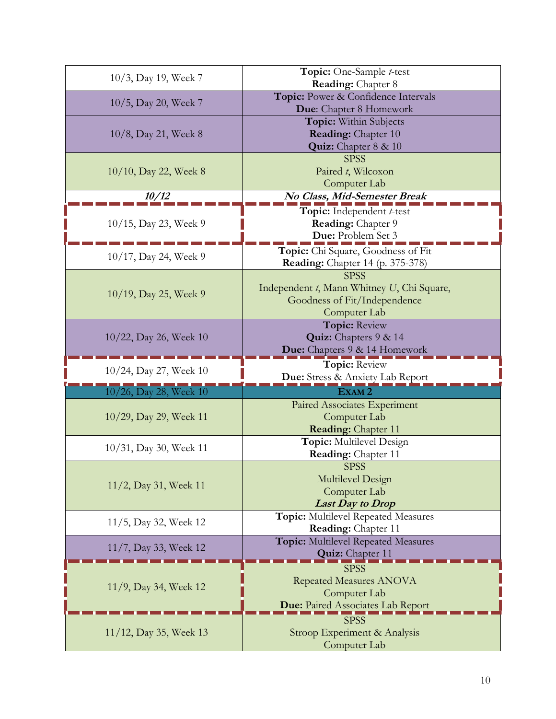| 10/3, Day 19, Week 7      | Topic: One-Sample t-test                     |
|---------------------------|----------------------------------------------|
|                           | <b>Reading:</b> Chapter 8                    |
| 10/5, Day 20, Week 7      | Topic: Power & Confidence Intervals          |
|                           | Due: Chapter 8 Homework                      |
| 10/8, Day 21, Week 8      | Topic: Within Subjects                       |
|                           | <b>Reading:</b> Chapter 10                   |
|                           | <b>Quiz:</b> Chapter $8 \& 10$               |
| $10/10$ , Day 22, Week 8  | <b>SPSS</b>                                  |
|                           | Paired t, Wilcoxon                           |
|                           | Computer Lab                                 |
| 10/12                     | No Class, Mid-Semester Break                 |
| 10/15, Day 23, Week 9     | Topic: Independent t-test                    |
|                           | Reading: Chapter 9                           |
|                           | Due: Problem Set 3                           |
|                           | Topic: Chi Square, Goodness of Fit           |
| 10/17, Day 24, Week 9     | <b>Reading:</b> Chapter 14 (p. 375-378)      |
|                           | <b>SPSS</b>                                  |
|                           | Independent t, Mann Whitney U, Chi Square,   |
| $10/19$ , Day 25, Week 9  | Goodness of Fit/Independence                 |
|                           | Computer Lab                                 |
| 10/22, Day 26, Week 10    | <b>Topic: Review</b>                         |
|                           | Quiz: Chapters 9 & 14                        |
|                           | Due: Chapters 9 & 14 Homework                |
|                           |                                              |
|                           | <b>Topic: Review</b>                         |
| 10/24, Day 27, Week 10    | Due: Stress & Anxiety Lab Report             |
|                           | EXAM <sub>2</sub>                            |
| 10/26, Day 28, Week 10    |                                              |
| $10/29$ , Day 29, Week 11 | Paired Associates Experiment<br>Computer Lab |
|                           | <b>Reading:</b> Chapter 11                   |
|                           | Topic: Multilevel Design                     |
| 10/31, Day 30, Week 11    | Reading: Chapter 11                          |
|                           | <b>SPSS</b>                                  |
|                           | Multilevel Design                            |
| 11/2, Day 31, Week 11     | Computer Lab                                 |
|                           | <b>Last Day to Drop</b>                      |
|                           | Topic: Multilevel Repeated Measures          |
| $11/5$ , Day 32, Week 12  | Reading: Chapter 11                          |
|                           | <b>Topic:</b> Multilevel Repeated Measures   |
| 11/7, Day 33, Week 12     | <b>Quiz:</b> Chapter 11                      |
|                           | <b>SPSS</b>                                  |
|                           | <b>Repeated Measures ANOVA</b>               |
| 11/9, Day 34, Week 12     | Computer Lab                                 |
|                           | <b>Due: Paired Associates Lab Report</b>     |
|                           | <b>SPSS</b>                                  |
| 11/12, Day 35, Week 13    | Stroop Experiment & Analysis<br>Computer Lab |